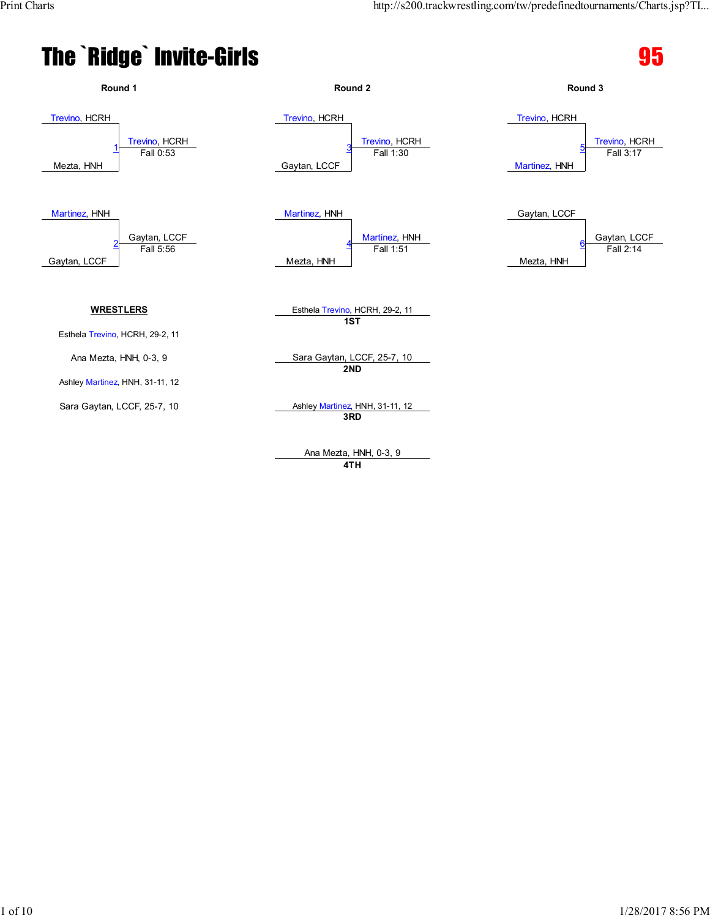#### The `Ridge` Invite-Girls extended to the second service of  $\overline{95}$





**4TH**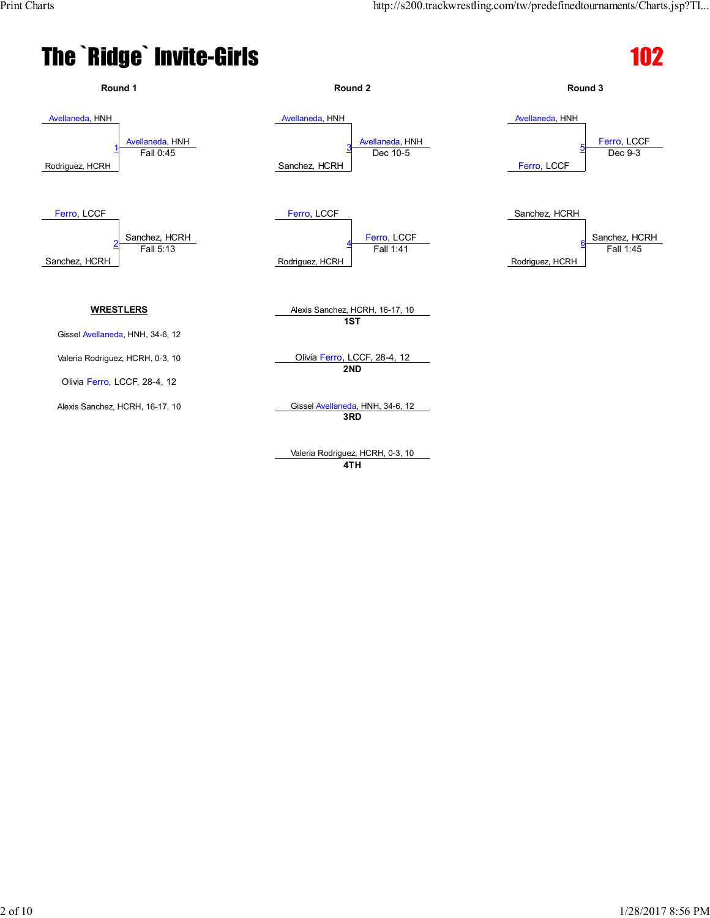



Valeria Rodriguez, HCRH, 0-3, 10 **4TH**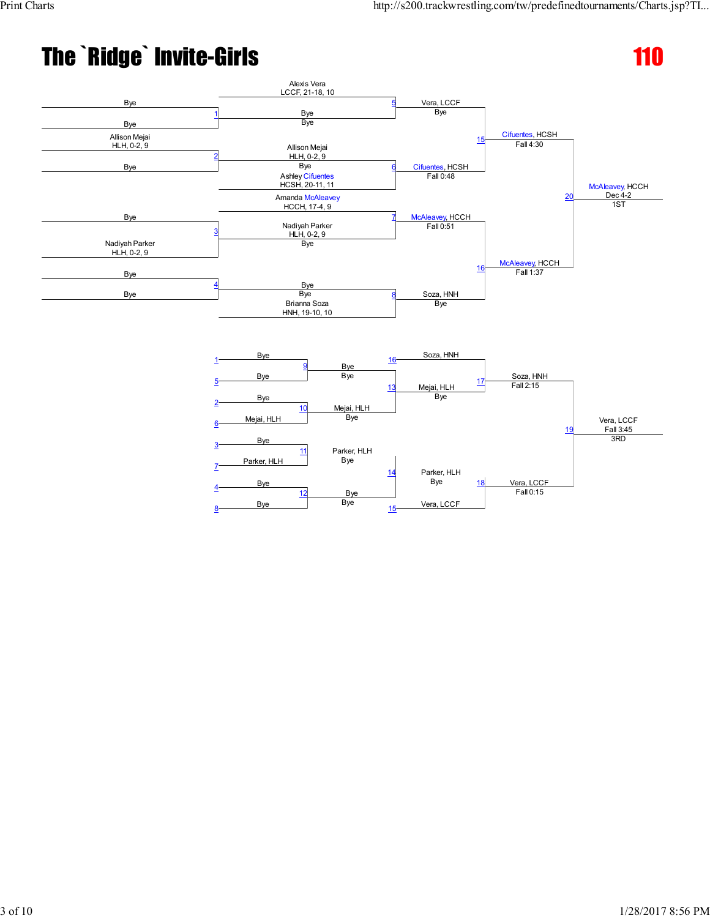

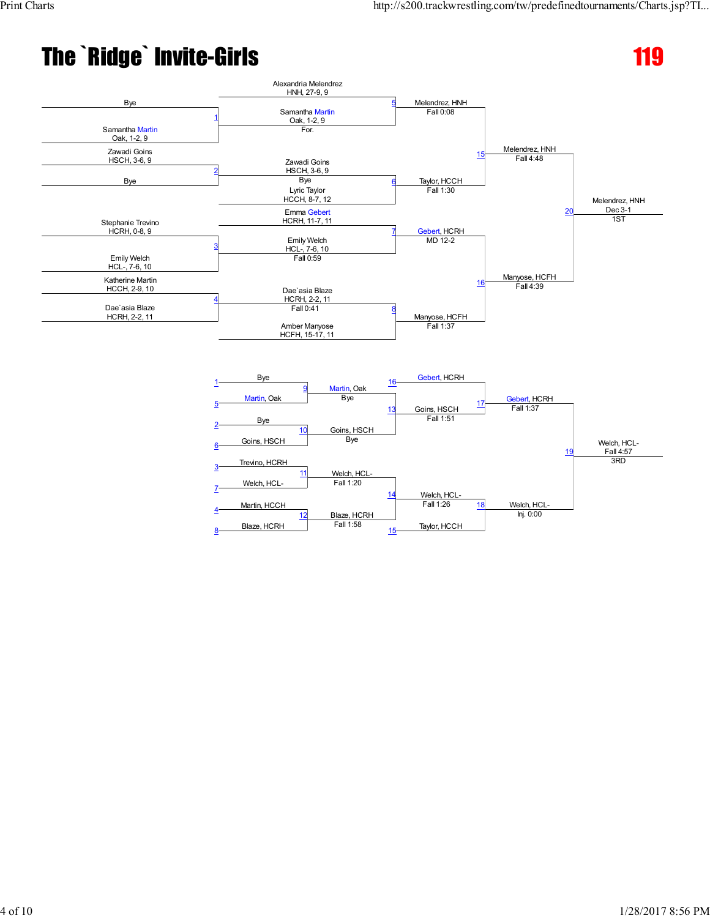

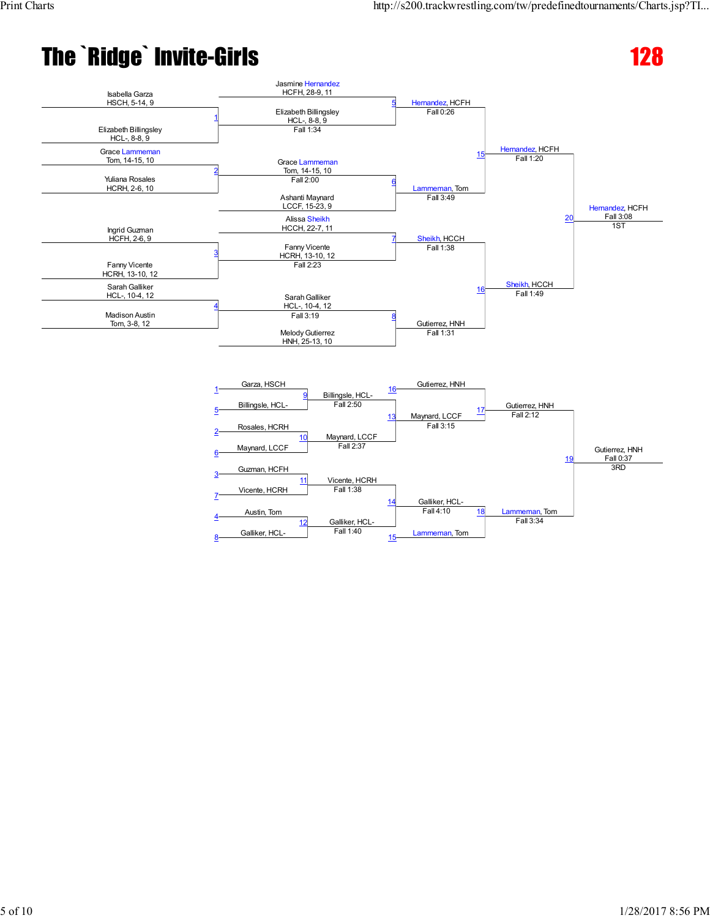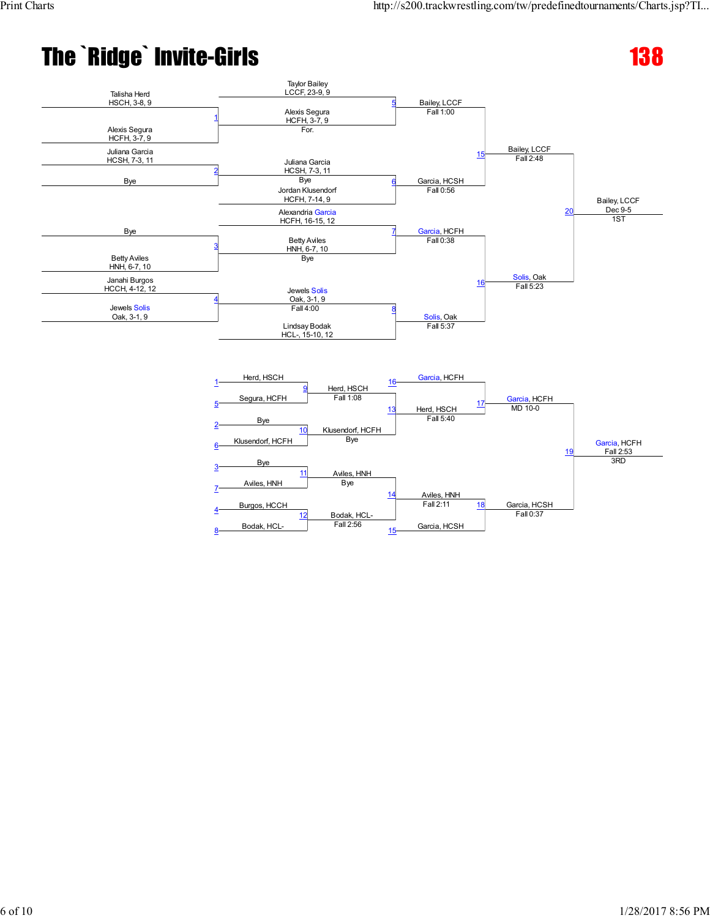

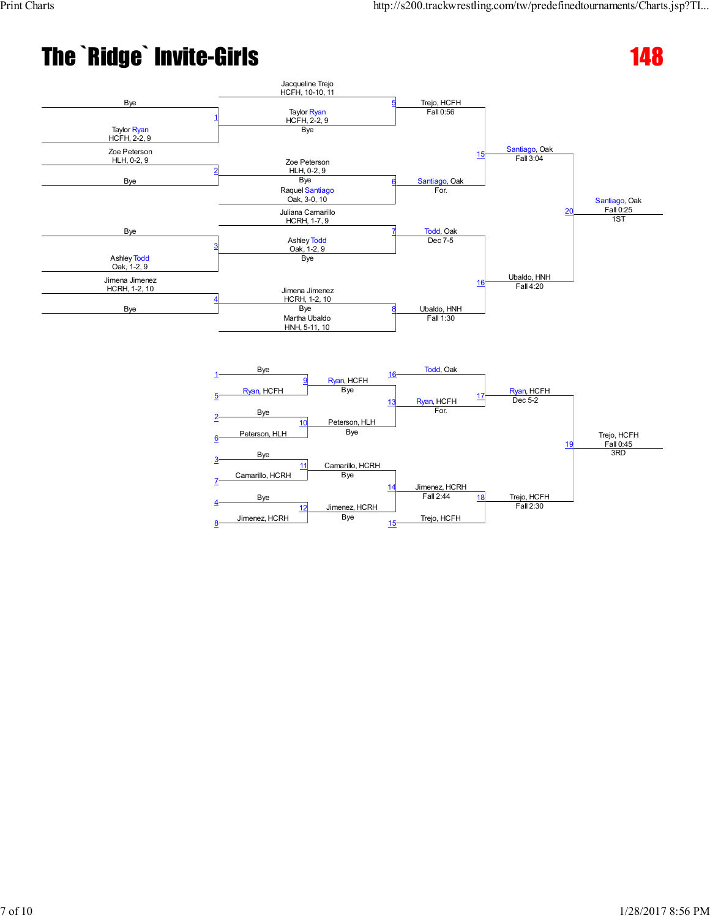

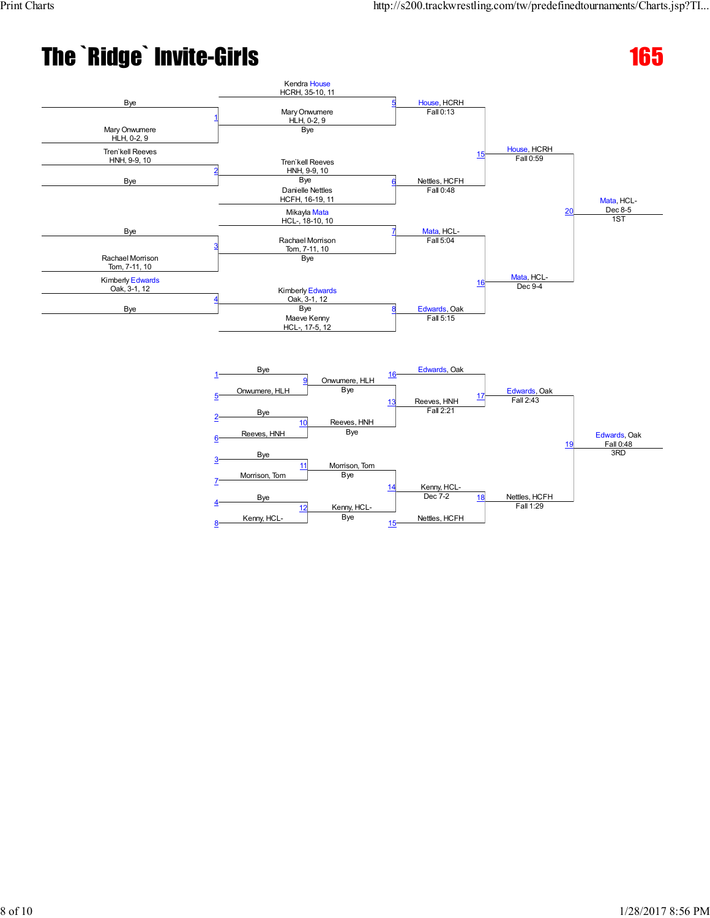

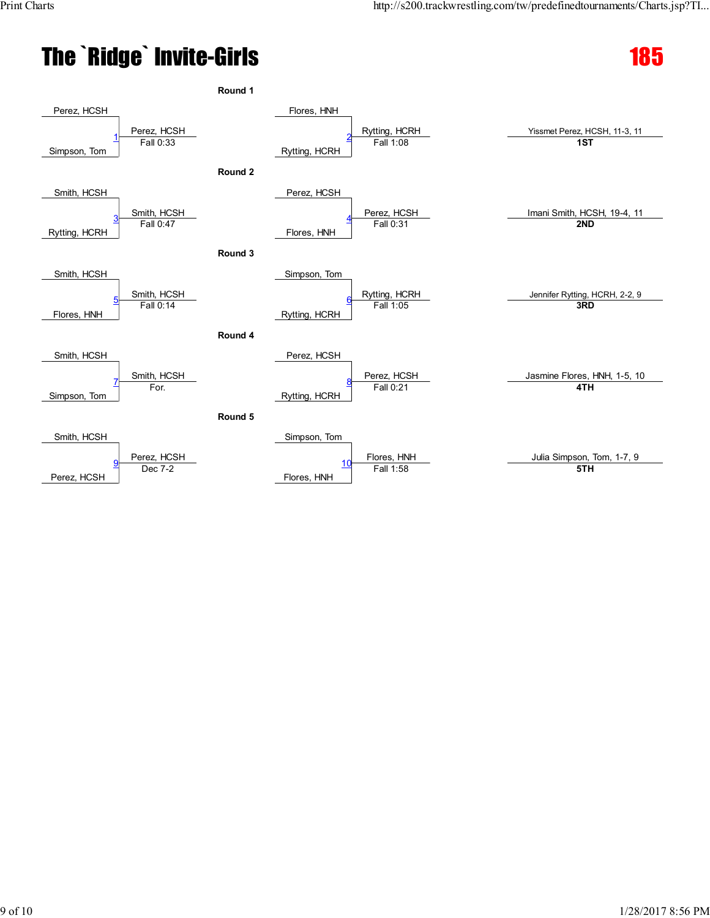